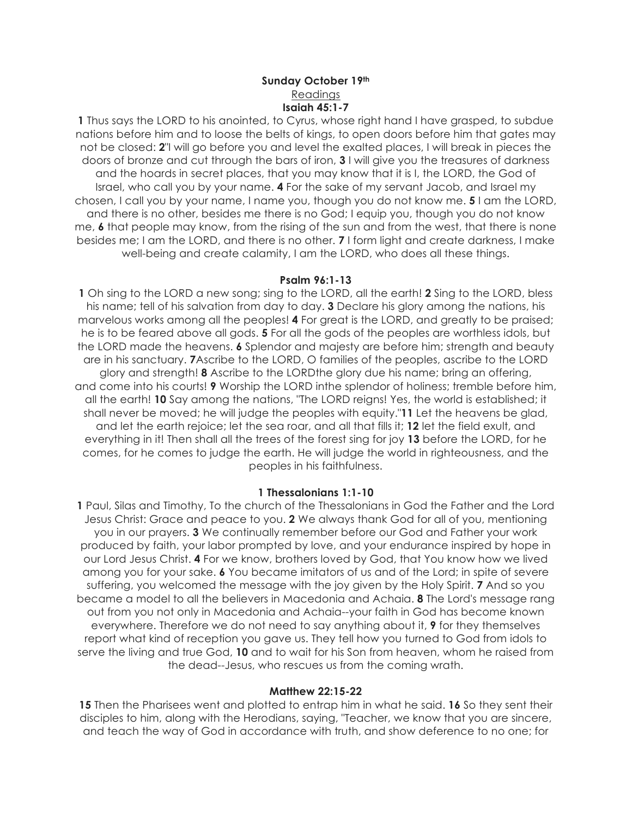## **Sunday October 19th** Readings **Isaiah 45:1-7**

**1** Thus says the LORD to his anointed, to Cyrus, whose right hand I have grasped, to subdue nations before him and to loose the belts of kings, to open doors before him that gates may not be closed: **2**"I will go before you and level the exalted places, I will break in pieces the doors of bronze and cut through the bars of iron, **3** I will give you the treasures of darkness and the hoards in secret places, that you may know that it is I, the LORD, the God of Israel, who call you by your name. **4** For the sake of my servant Jacob, and Israel my chosen, I call you by your name, I name you, though you do not know me. **5** I am the LORD, and there is no other, besides me there is no God; I equip you, though you do not know me, **6** that people may know, from the rising of the sun and from the west, that there is none besides me; I am the LORD, and there is no other. **7** I form light and create darkness, I make well-being and create calamity, I am the LORD, who does all these things.

### **Psalm 96:1-13**

**1** Oh sing to the LORD a new song; sing to the LORD, all the earth! **2** Sing to the LORD, bless his name; tell of his salvation from day to day. **3** Declare his glory among the nations, his marvelous works among all the peoples! **4** For great is the LORD, and greatly to be praised; he is to be feared above all gods. **5** For all the gods of the peoples are worthless idols, but the LORD made the heavens. **6** Splendor and majesty are before him; strength and beauty are in his sanctuary. **7**Ascribe to the LORD, O families of the peoples, ascribe to the LORD glory and strength! **8** Ascribe to the LORDthe glory due his name; bring an offering, and come into his courts! **9** Worship the LORD inthe splendor of holiness; tremble before him, all the earth! **10** Say among the nations, "The LORD reigns! Yes, the world is established; it shall never be moved; he will judge the peoples with equity."**11** Let the heavens be glad, and let the earth rejoice; let the sea roar, and all that fills it; **12** let the field exult, and everything in it! Then shall all the trees of the forest sing for joy **13** before the LORD, for he comes, for he comes to judge the earth. He will judge the world in righteousness, and the peoples in his faithfulness.

#### **1 Thessalonians 1:1-10**

**1** Paul, Silas and Timothy, To the church of the Thessalonians in God the Father and the Lord Jesus Christ: Grace and peace to you. **2** We always thank God for all of you, mentioning you in our prayers. **3** We continually remember before our God and Father your work produced by faith, your labor prompted by love, and your endurance inspired by hope in our Lord Jesus Christ. **4** For we know, brothers loved by God, that You know how we lived among you for your sake. **6** You became imitators of us and of the Lord; in spite of severe suffering, you welcomed the message with the joy given by the Holy Spirit. **7** And so you became a model to all the believers in Macedonia and Achaia. **8** The Lord's message rang out from you not only in Macedonia and Achaia--your faith in God has become known everywhere. Therefore we do not need to say anything about it, **9** for they themselves report what kind of reception you gave us. They tell how you turned to God from idols to serve the living and true God, **10** and to wait for his Son from heaven, whom he raised from the dead--Jesus, who rescues us from the coming wrath.

#### **Matthew 22:15-22**

**15** Then the Pharisees went and plotted to entrap him in what he said. **16** So they sent their disciples to him, along with the Herodians, saying, "Teacher, we know that you are sincere, and teach the way of God in accordance with truth, and show deference to no one; for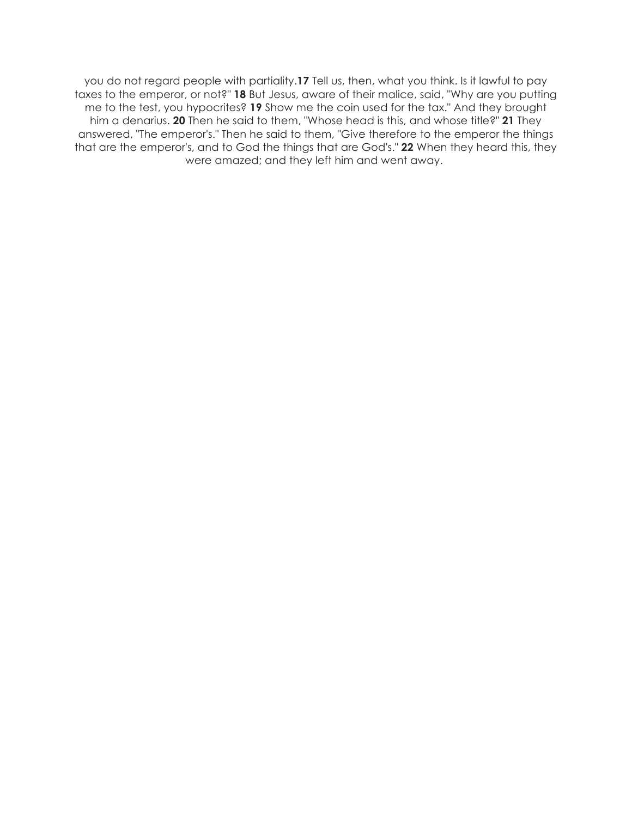you do not regard people with partiality.**17** Tell us, then, what you think. Is it lawful to pay taxes to the emperor, or not?" **18** But Jesus, aware of their malice, said, "Why are you putting me to the test, you hypocrites? **19** Show me the coin used for the tax." And they brought him a denarius. **20** Then he said to them, "Whose head is this, and whose title?" **21** They answered, "The emperor's." Then he said to them, "Give therefore to the emperor the things that are the emperor's, and to God the things that are God's." **22** When they heard this, they were amazed; and they left him and went away.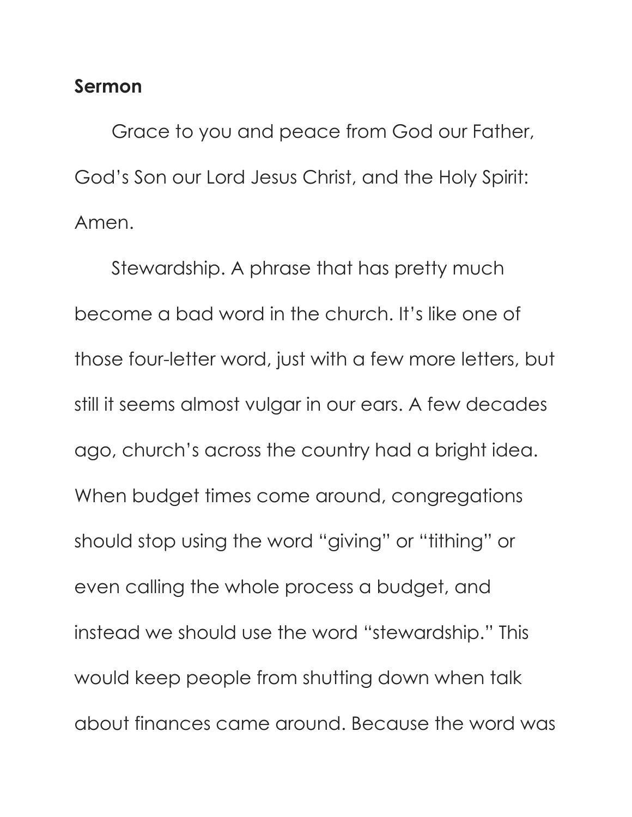# **Sermon**

Grace to you and peace from God our Father, God's Son our Lord Jesus Christ, and the Holy Spirit: Amen.

Stewardship. A phrase that has pretty much become a bad word in the church. It's like one of those four-letter word, just with a few more letters, but still it seems almost vulgar in our ears. A few decades ago, church's across the country had a bright idea. When budget times come around, congregations should stop using the word "giving" or "tithing" or even calling the whole process a budget, and instead we should use the word "stewardship." This would keep people from shutting down when talk about finances came around. Because the word was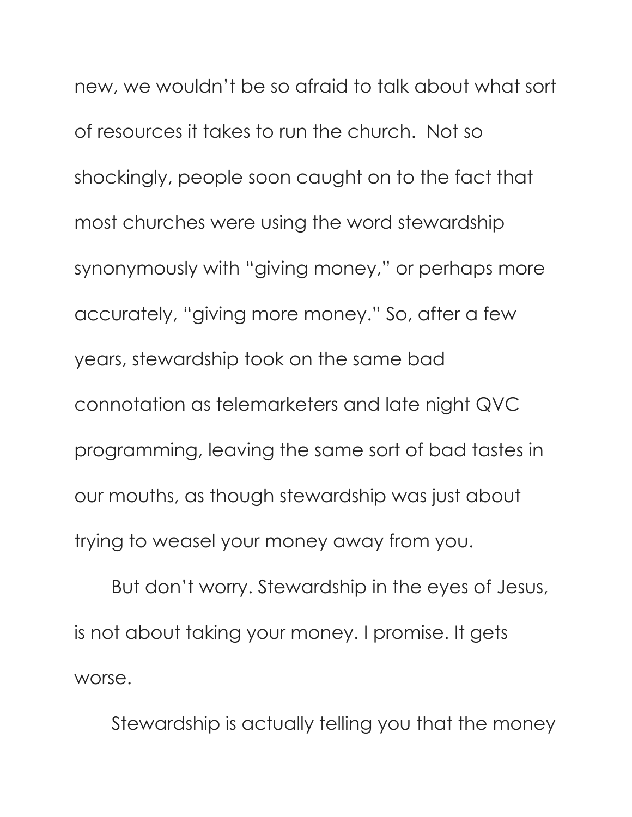new, we wouldn't be so afraid to talk about what sort of resources it takes to run the church. Not so shockingly, people soon caught on to the fact that most churches were using the word stewardship synonymously with "giving money," or perhaps more accurately, "giving more money." So, after a few years, stewardship took on the same bad connotation as telemarketers and late night QVC programming, leaving the same sort of bad tastes in our mouths, as though stewardship was just about trying to weasel your money away from you.

But don't worry. Stewardship in the eyes of Jesus, is not about taking your money. I promise. It gets worse.

Stewardship is actually telling you that the money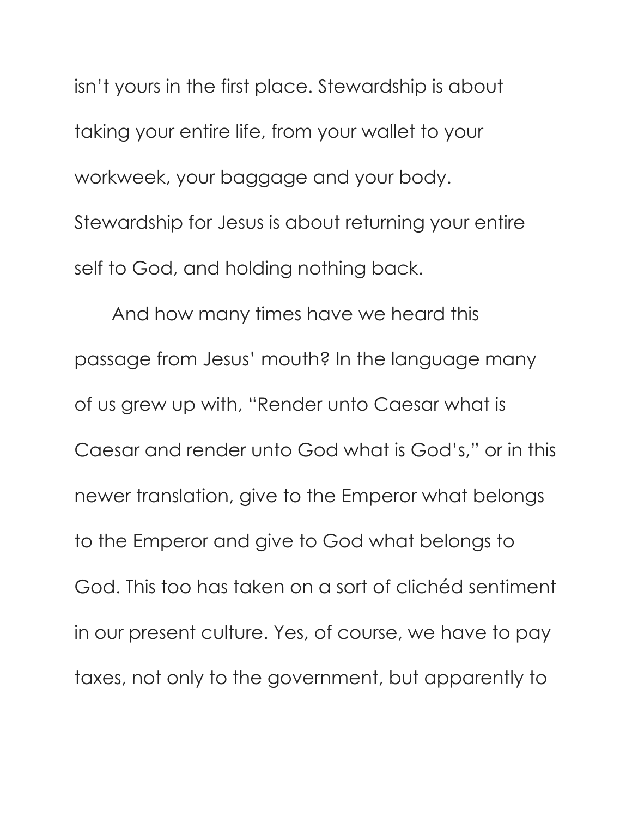isn't yours in the first place. Stewardship is about taking your entire life, from your wallet to your workweek, your baggage and your body. Stewardship for Jesus is about returning your entire self to God, and holding nothing back.

And how many times have we heard this passage from Jesus' mouth? In the language many of us grew up with, "Render unto Caesar what is Caesar and render unto God what is God's," or in this newer translation, give to the Emperor what belongs to the Emperor and give to God what belongs to God. This too has taken on a sort of clichéd sentiment in our present culture. Yes, of course, we have to pay taxes, not only to the government, but apparently to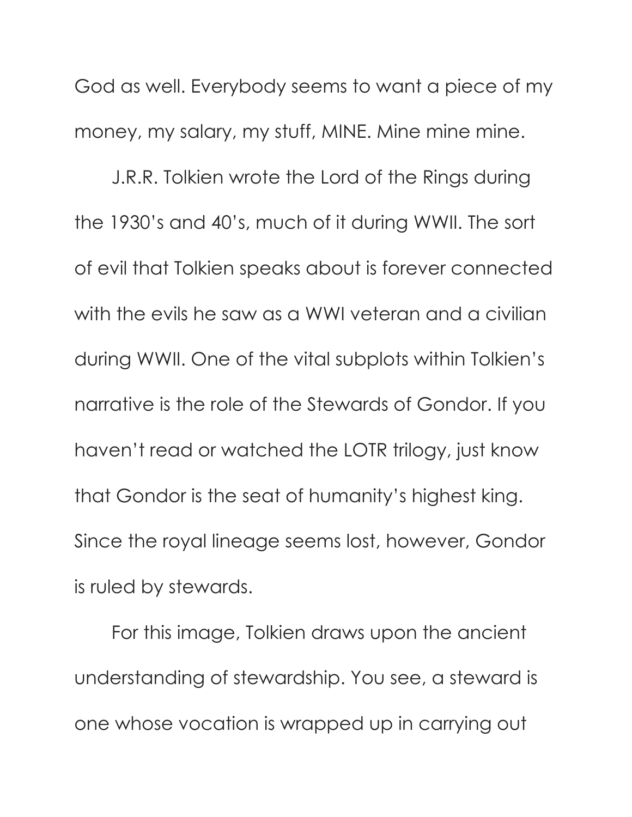God as well. Everybody seems to want a piece of my money, my salary, my stuff, MINE. Mine mine mine.

J.R.R. Tolkien wrote the Lord of the Rings during the 1930's and 40's, much of it during WWII. The sort of evil that Tolkien speaks about is forever connected with the evils he saw as a WWI veteran and a civilian during WWII. One of the vital subplots within Tolkien's narrative is the role of the Stewards of Gondor. If you haven't read or watched the LOTR trilogy, just know that Gondor is the seat of humanity's highest king. Since the royal lineage seems lost, however, Gondor is ruled by stewards.

For this image, Tolkien draws upon the ancient understanding of stewardship. You see, a steward is one whose vocation is wrapped up in carrying out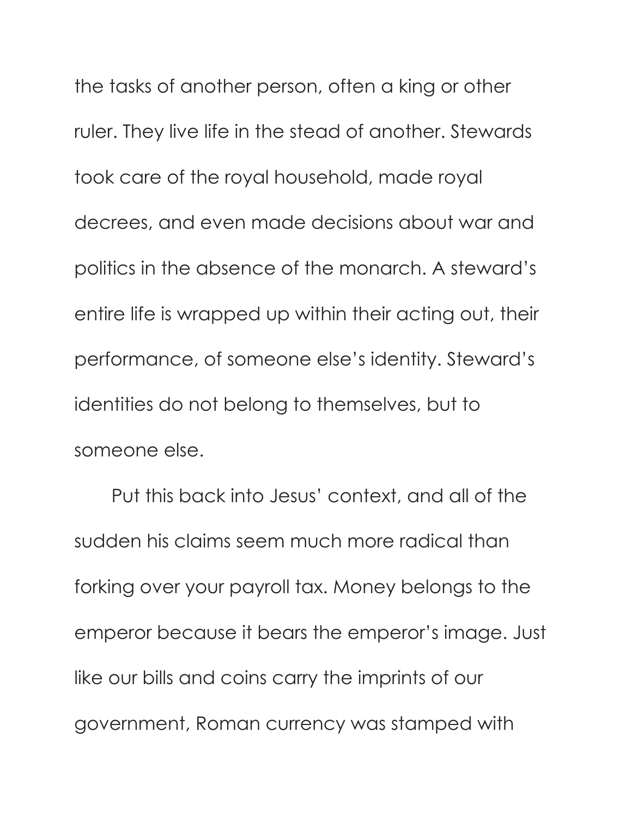the tasks of another person, often a king or other ruler. They live life in the stead of another. Stewards took care of the royal household, made royal decrees, and even made decisions about war and politics in the absence of the monarch. A steward's entire life is wrapped up within their acting out, their performance, of someone else's identity. Steward's identities do not belong to themselves, but to someone else.

Put this back into Jesus' context, and all of the sudden his claims seem much more radical than forking over your payroll tax. Money belongs to the emperor because it bears the emperor's image. Just like our bills and coins carry the imprints of our government, Roman currency was stamped with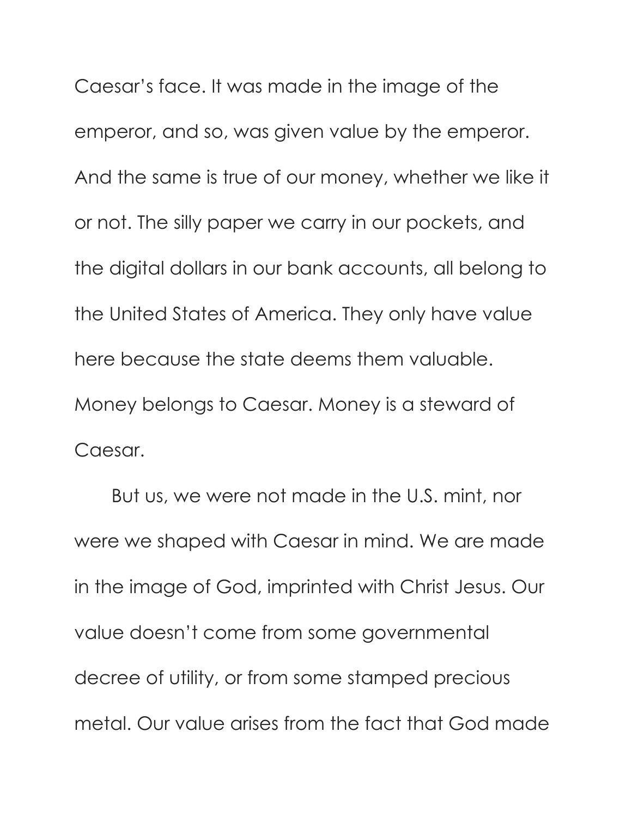Caesar's face. It was made in the image of the emperor, and so, was given value by the emperor. And the same is true of our money, whether we like it or not. The silly paper we carry in our pockets, and the digital dollars in our bank accounts, all belong to the United States of America. They only have value here because the state deems them valuable. Money belongs to Caesar. Money is a steward of Caesar.

But us, we were not made in the U.S. mint, nor were we shaped with Caesar in mind. We are made in the image of God, imprinted with Christ Jesus. Our value doesn't come from some governmental decree of utility, or from some stamped precious metal. Our value arises from the fact that God made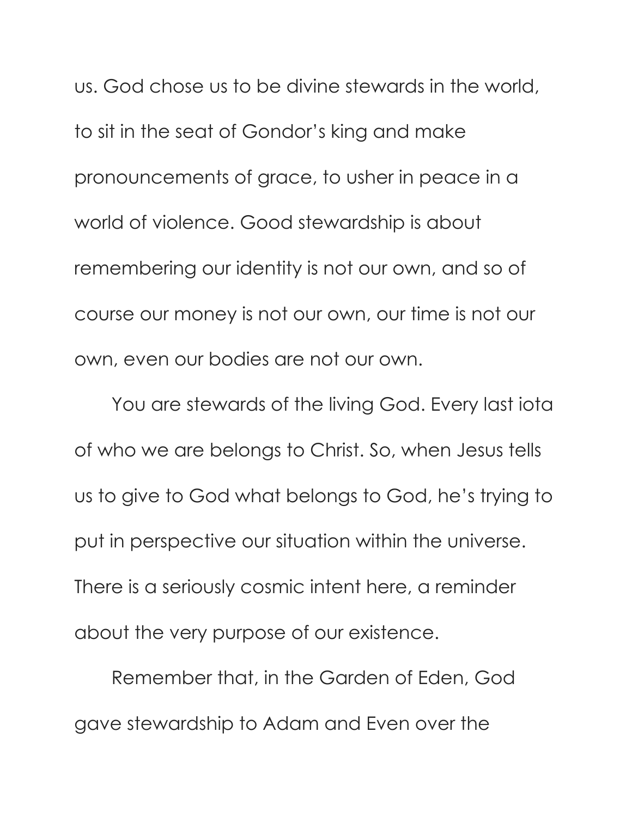us. God chose us to be divine stewards in the world, to sit in the seat of Gondor's king and make pronouncements of grace, to usher in peace in a world of violence. Good stewardship is about remembering our identity is not our own, and so of course our money is not our own, our time is not our own, even our bodies are not our own.

You are stewards of the living God. Every last iota of who we are belongs to Christ. So, when Jesus tells us to give to God what belongs to God, he's trying to put in perspective our situation within the universe. There is a seriously cosmic intent here, a reminder about the very purpose of our existence.

Remember that, in the Garden of Eden, God gave stewardship to Adam and Even over the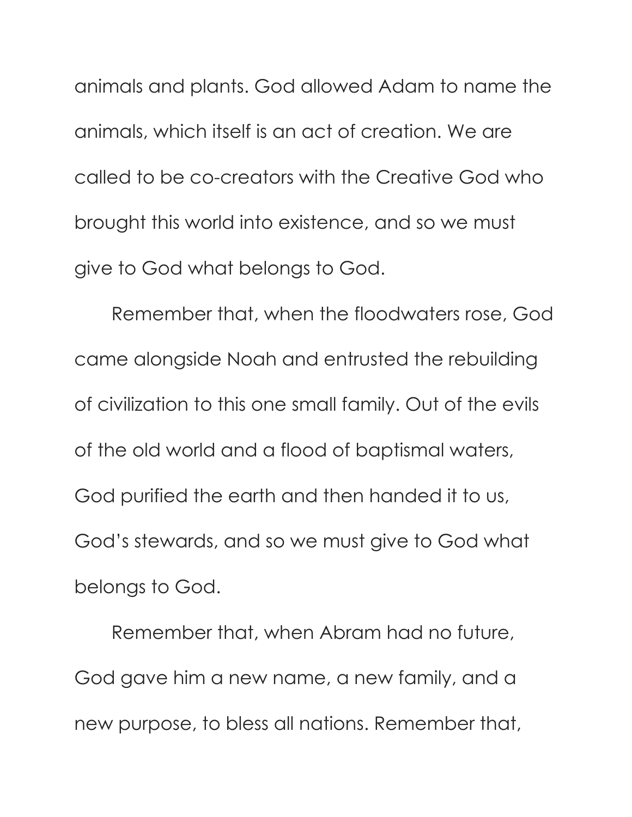animals and plants. God allowed Adam to name the animals, which itself is an act of creation. We are called to be co-creators with the Creative God who brought this world into existence, and so we must give to God what belongs to God.

Remember that, when the floodwaters rose, God came alongside Noah and entrusted the rebuilding of civilization to this one small family. Out of the evils of the old world and a flood of baptismal waters, God purified the earth and then handed it to us, God's stewards, and so we must give to God what belongs to God.

Remember that, when Abram had no future, God gave him a new name, a new family, and a new purpose, to bless all nations. Remember that,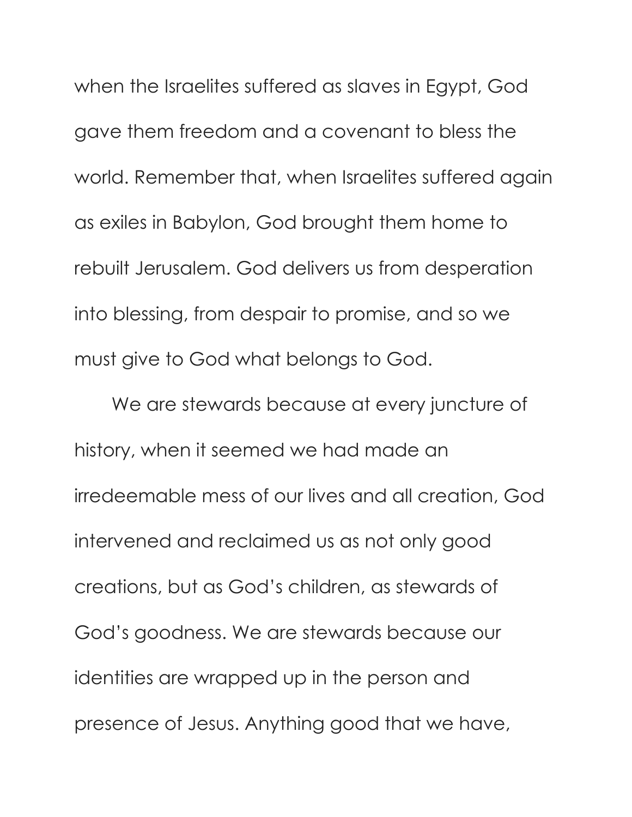when the Israelites suffered as slaves in Egypt, God gave them freedom and a covenant to bless the world. Remember that, when Israelites suffered again as exiles in Babylon, God brought them home to rebuilt Jerusalem. God delivers us from desperation into blessing, from despair to promise, and so we must give to God what belongs to God.

We are stewards because at every juncture of history, when it seemed we had made an irredeemable mess of our lives and all creation, God intervened and reclaimed us as not only good creations, but as God's children, as stewards of God's goodness. We are stewards because our identities are wrapped up in the person and presence of Jesus. Anything good that we have,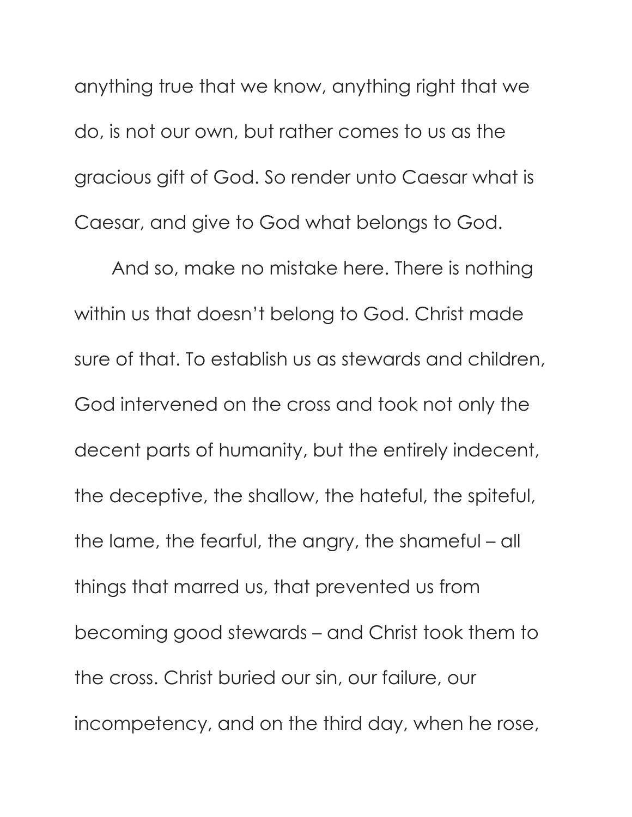anything true that we know, anything right that we do, is not our own, but rather comes to us as the gracious gift of God. So render unto Caesar what is Caesar, and give to God what belongs to God.

And so, make no mistake here. There is nothing within us that doesn't belong to God. Christ made sure of that. To establish us as stewards and children, God intervened on the cross and took not only the decent parts of humanity, but the entirely indecent, the deceptive, the shallow, the hateful, the spiteful, the lame, the fearful, the angry, the shameful – all things that marred us, that prevented us from becoming good stewards – and Christ took them to the cross. Christ buried our sin, our failure, our incompetency, and on the third day, when he rose,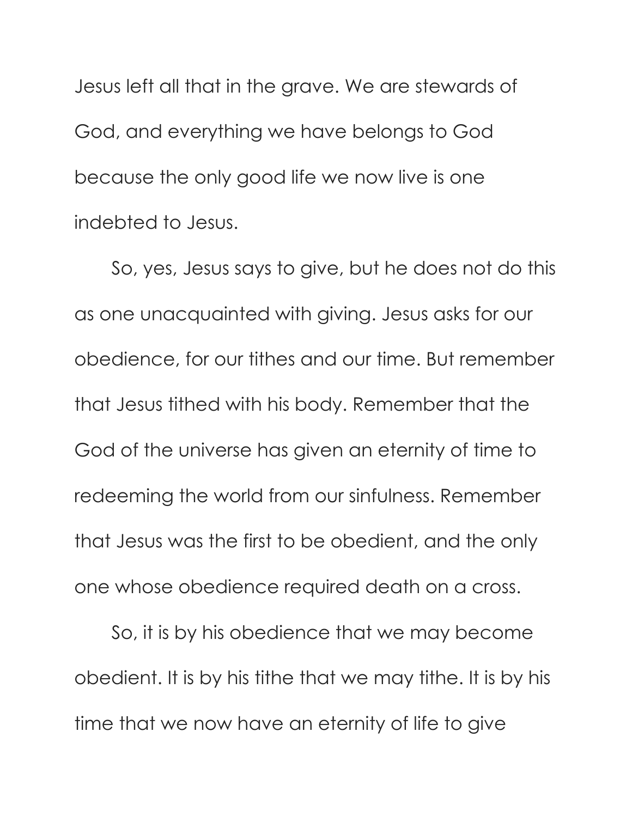Jesus left all that in the grave. We are stewards of God, and everything we have belongs to God because the only good life we now live is one indebted to Jesus.

So, yes, Jesus says to give, but he does not do this as one unacquainted with giving. Jesus asks for our obedience, for our tithes and our time. But remember that Jesus tithed with his body. Remember that the God of the universe has given an eternity of time to redeeming the world from our sinfulness. Remember that Jesus was the first to be obedient, and the only one whose obedience required death on a cross.

So, it is by his obedience that we may become obedient. It is by his tithe that we may tithe. It is by his time that we now have an eternity of life to give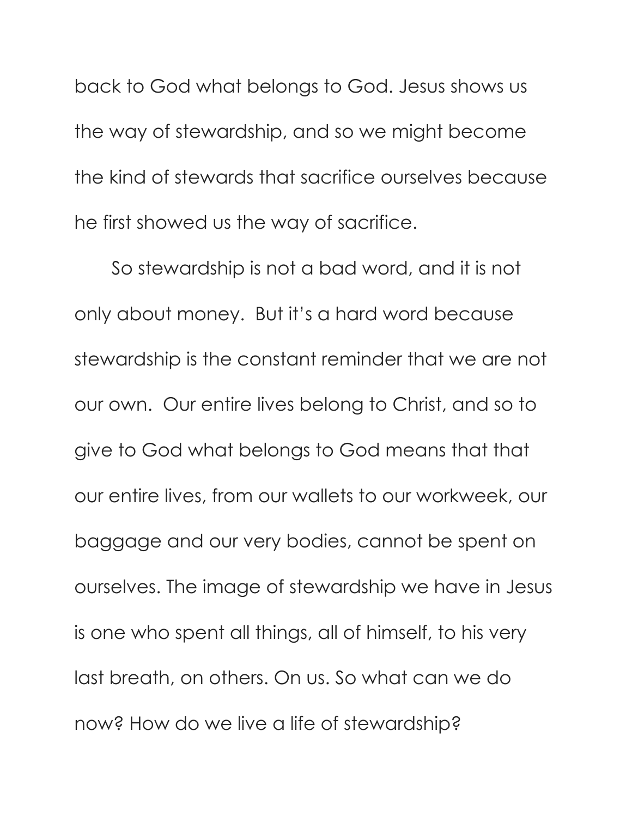back to God what belongs to God. Jesus shows us the way of stewardship, and so we might become the kind of stewards that sacrifice ourselves because he first showed us the way of sacrifice.

So stewardship is not a bad word, and it is not only about money. But it's a hard word because stewardship is the constant reminder that we are not our own. Our entire lives belong to Christ, and so to give to God what belongs to God means that that our entire lives, from our wallets to our workweek, our baggage and our very bodies, cannot be spent on ourselves. The image of stewardship we have in Jesus is one who spent all things, all of himself, to his very last breath, on others. On us. So what can we do now? How do we live a life of stewardship?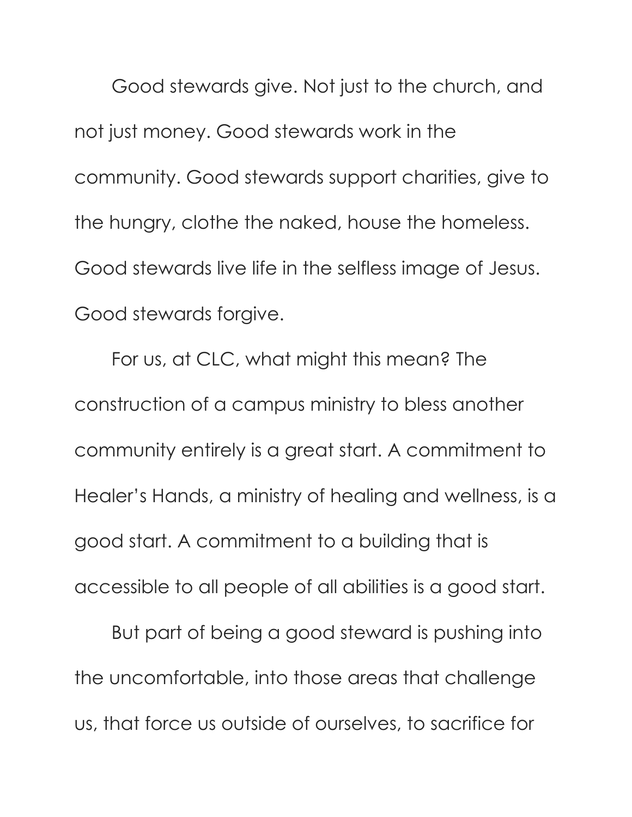Good stewards give. Not just to the church, and not just money. Good stewards work in the community. Good stewards support charities, give to the hungry, clothe the naked, house the homeless. Good stewards live life in the selfless image of Jesus. Good stewards forgive.

For us, at CLC, what might this mean? The construction of a campus ministry to bless another community entirely is a great start. A commitment to Healer's Hands, a ministry of healing and wellness, is a good start. A commitment to a building that is accessible to all people of all abilities is a good start.

But part of being a good steward is pushing into the uncomfortable, into those areas that challenge us, that force us outside of ourselves, to sacrifice for